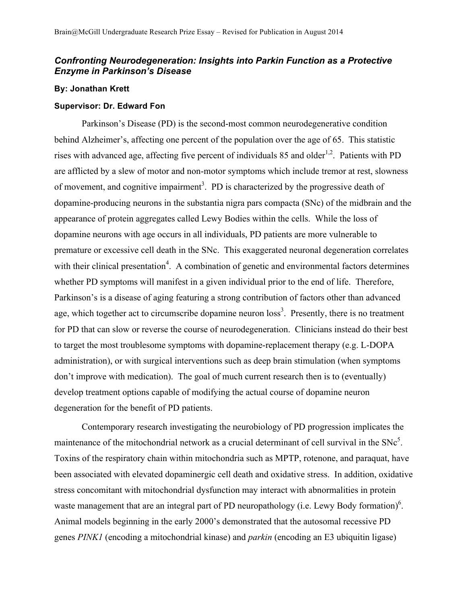## *Confronting Neurodegeneration: Insights into Parkin Function as a Protective Enzyme in Parkinson's Disease*

## **By: Jonathan Krett**

## **Supervisor: Dr. Edward Fon**

Parkinson's Disease (PD) is the second-most common neurodegenerative condition behind Alzheimer's, affecting one percent of the population over the age of 65. This statistic rises with advanced age, affecting five percent of individuals  $85$  and older<sup>1,2</sup>. Patients with PD are afflicted by a slew of motor and non-motor symptoms which include tremor at rest, slowness of movement, and cognitive impairment<sup>3</sup>. PD is characterized by the progressive death of dopamine-producing neurons in the substantia nigra pars compacta (SNc) of the midbrain and the appearance of protein aggregates called Lewy Bodies within the cells. While the loss of dopamine neurons with age occurs in all individuals, PD patients are more vulnerable to premature or excessive cell death in the SNc. This exaggerated neuronal degeneration correlates with their clinical presentation<sup>4</sup>. A combination of genetic and environmental factors determines whether PD symptoms will manifest in a given individual prior to the end of life. Therefore, Parkinson's is a disease of aging featuring a strong contribution of factors other than advanced age, which together act to circumscribe dopamine neuron  $loss<sup>3</sup>$ . Presently, there is no treatment for PD that can slow or reverse the course of neurodegeneration. Clinicians instead do their best to target the most troublesome symptoms with dopamine-replacement therapy (e.g. L-DOPA administration), or with surgical interventions such as deep brain stimulation (when symptoms don't improve with medication). The goal of much current research then is to (eventually) develop treatment options capable of modifying the actual course of dopamine neuron degeneration for the benefit of PD patients.

Contemporary research investigating the neurobiology of PD progression implicates the maintenance of the mitochondrial network as a crucial determinant of cell survival in the  $SNe<sup>5</sup>$ . Toxins of the respiratory chain within mitochondria such as MPTP, rotenone, and paraquat, have been associated with elevated dopaminergic cell death and oxidative stress. In addition, oxidative stress concomitant with mitochondrial dysfunction may interact with abnormalities in protein waste management that are an integral part of PD neuropathology (i.e. Lewy Body formation) $6$ . Animal models beginning in the early 2000's demonstrated that the autosomal recessive PD genes *PINK1* (encoding a mitochondrial kinase) and *parkin* (encoding an E3 ubiquitin ligase)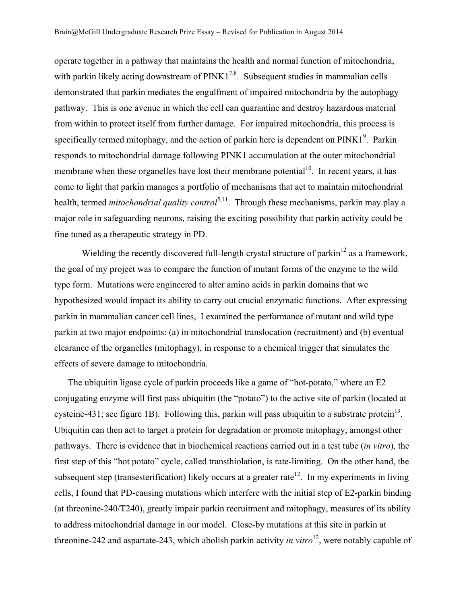operate together in a pathway that maintains the health and normal function of mitochondria, with parkin likely acting downstream of  $PINK1^{7,8}$ . Subsequent studies in mammalian cells demonstrated that parkin mediates the engulfment of impaired mitochondria by the autophagy pathway. This is one avenue in which the cell can quarantine and destroy hazardous material from within to protect itself from further damage. For impaired mitochondria, this process is specifically termed mitophagy, and the action of parkin here is dependent on  $PINK1<sup>9</sup>$ . Parkin responds to mitochondrial damage following PINK1 accumulation at the outer mitochondrial membrane when these organelles have lost their membrane potential $1<sup>0</sup>$ . In recent years, it has come to light that parkin manages a portfolio of mechanisms that act to maintain mitochondrial health, termed *mitochondrial quality control*<sup>5,11</sup>. Through these mechanisms, parkin may play a major role in safeguarding neurons, raising the exciting possibility that parkin activity could be fine tuned as a therapeutic strategy in PD.

Wielding the recently discovered full-length crystal structure of parkin<sup>12</sup> as a framework, the goal of my project was to compare the function of mutant forms of the enzyme to the wild type form. Mutations were engineered to alter amino acids in parkin domains that we hypothesized would impact its ability to carry out crucial enzymatic functions. After expressing parkin in mammalian cancer cell lines, I examined the performance of mutant and wild type parkin at two major endpoints: (a) in mitochondrial translocation (recruitment) and (b) eventual clearance of the organelles (mitophagy), in response to a chemical trigger that simulates the effects of severe damage to mitochondria.

The ubiquitin ligase cycle of parkin proceeds like a game of "hot-potato," where an E2 conjugating enzyme will first pass ubiquitin (the "potato") to the active site of parkin (located at cysteine-431; see figure 1B). Following this, parkin will pass ubiquitin to a substrate protein<sup>13</sup>. Ubiquitin can then act to target a protein for degradation or promote mitophagy, amongst other pathways. There is evidence that in biochemical reactions carried out in a test tube (*in vitro*), the first step of this "hot potato" cycle, called transthiolation, is rate-limiting. On the other hand, the subsequent step (transesterification) likely occurs at a greater rate<sup>12</sup>. In my experiments in living cells, I found that PD-causing mutations which interfere with the initial step of E2-parkin binding (at threonine-240/T240), greatly impair parkin recruitment and mitophagy, measures of its ability to address mitochondrial damage in our model. Close-by mutations at this site in parkin at threonine-242 and aspartate-243, which abolish parkin activity *in vitro*<sup>12</sup>, were notably capable of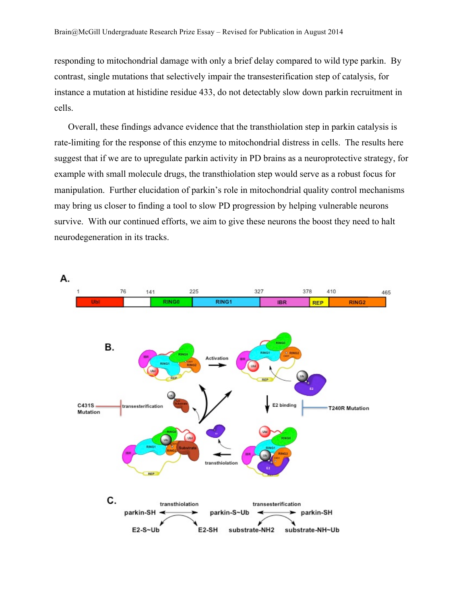responding to mitochondrial damage with only a brief delay compared to wild type parkin. By contrast, single mutations that selectively impair the transesterification step of catalysis, for instance a mutation at histidine residue 433, do not detectably slow down parkin recruitment in cells.

Overall, these findings advance evidence that the transthiolation step in parkin catalysis is rate-limiting for the response of this enzyme to mitochondrial distress in cells. The results here suggest that if we are to upregulate parkin activity in PD brains as a neuroprotective strategy, for example with small molecule drugs, the transthiolation step would serve as a robust focus for manipulation. Further elucidation of parkin's role in mitochondrial quality control mechanisms may bring us closer to finding a tool to slow PD progression by helping vulnerable neurons survive. With our continued efforts, we aim to give these neurons the boost they need to halt neurodegeneration in its tracks.

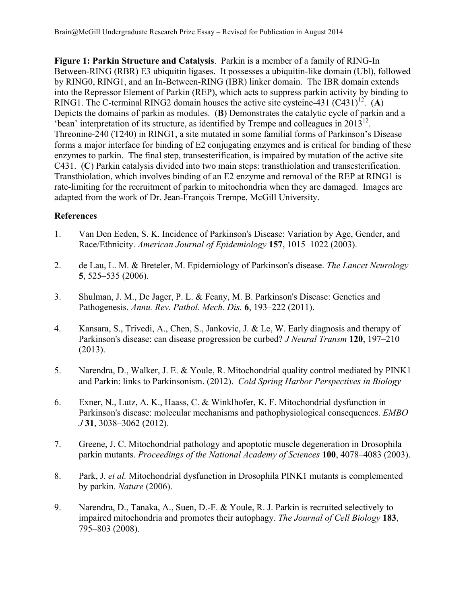**Figure 1: Parkin Structure and Catalysis**. Parkin is a member of a family of RING-In Between-RING (RBR) E3 ubiquitin ligases. It possesses a ubiquitin-like domain (Ubl), followed by RING0, RING1, and an In-Between-RING (IBR) linker domain. The IBR domain extends into the Repressor Element of Parkin (REP), which acts to suppress parkin activity by binding to RING1. The C-terminal RING2 domain houses the active site cysteine-431  $(C431)^{12}$ . (A) Depicts the domains of parkin as modules. (**B**) Demonstrates the catalytic cycle of parkin and a 'bean' interpretation of its structure, as identified by Trempe and colleagues in  $2013^{12}$ . Threonine-240 (T240) in RING1, a site mutated in some familial forms of Parkinson's Disease forms a major interface for binding of E2 conjugating enzymes and is critical for binding of these enzymes to parkin. The final step, transesterification, is impaired by mutation of the active site C431. (**C**) Parkin catalysis divided into two main steps: transthiolation and transesterification. Transthiolation, which involves binding of an E2 enzyme and removal of the REP at RING1 is rate-limiting for the recruitment of parkin to mitochondria when they are damaged. Images are adapted from the work of Dr. Jean-François Trempe, McGill University.

## **References**

- 1. Van Den Eeden, S. K. Incidence of Parkinson's Disease: Variation by Age, Gender, and Race/Ethnicity. *American Journal of Epidemiology* **157**, 1015–1022 (2003).
- 2. de Lau, L. M. & Breteler, M. Epidemiology of Parkinson's disease. *The Lancet Neurology* **5**, 525–535 (2006).
- 3. Shulman, J. M., De Jager, P. L. & Feany, M. B. Parkinson's Disease: Genetics and Pathogenesis. *Annu. Rev. Pathol. Mech. Dis.* **6**, 193–222 (2011).
- 4. Kansara, S., Trivedi, A., Chen, S., Jankovic, J. & Le, W. Early diagnosis and therapy of Parkinson's disease: can disease progression be curbed? *J Neural Transm* **120**, 197–210 (2013).
- 5. Narendra, D., Walker, J. E. & Youle, R. Mitochondrial quality control mediated by PINK1 and Parkin: links to Parkinsonism. (2012). *Cold Spring Harbor Perspectives in Biology*
- 6. Exner, N., Lutz, A. K., Haass, C. & Winklhofer, K. F. Mitochondrial dysfunction in Parkinson's disease: molecular mechanisms and pathophysiological consequences. *EMBO J* **31**, 3038–3062 (2012).
- 7. Greene, J. C. Mitochondrial pathology and apoptotic muscle degeneration in Drosophila parkin mutants. *Proceedings of the National Academy of Sciences* **100**, 4078–4083 (2003).
- 8. Park, J. *et al.* Mitochondrial dysfunction in Drosophila PINK1 mutants is complemented by parkin. *Nature* (2006).
- 9. Narendra, D., Tanaka, A., Suen, D.-F. & Youle, R. J. Parkin is recruited selectively to impaired mitochondria and promotes their autophagy. *The Journal of Cell Biology* **183**, 795–803 (2008).